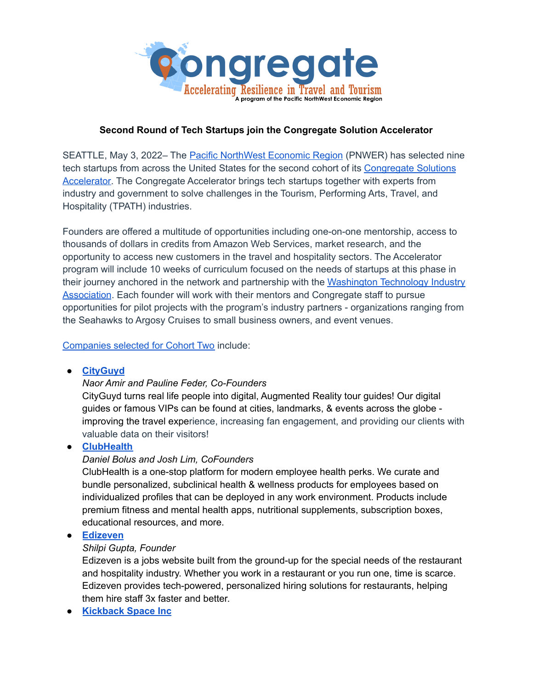

## **Second Round of Tech Startups join the Congregate Solution Accelerator**

SEATTLE, May 3, 2022– The Pacific [NorthWest](https://www.pnwer.org/) Economic Region (PNWER) has selected nine tech startups from across the United States for the second cohort of its [Congregate](https://www.congregate.resiliencefoundry.org/) Solutions [Accelerator.](https://www.congregate.resiliencefoundry.org/) The Congregate Accelerator brings tech startups together with experts from industry and government to solve challenges in the Tourism, Performing Arts, Travel, and Hospitality (TPATH) industries.

Founders are offered a multitude of opportunities including one-on-one mentorship, access to thousands of dollars in credits from Amazon Web Services, market research, and the opportunity to access new customers in the travel and hospitality sectors. The Accelerator program will include 10 weeks of curriculum focused on the needs of startups at this phase in their journey anchored in the network and partnership with the [Washington](https://washingtontechnology.com/) Technology Industry [Association](https://washingtontechnology.com/). Each founder will work with their mentors and Congregate staff to pursue opportunities for pilot projects with the program's industry partners - organizations ranging from the Seahawks to Argosy Cruises to small business owners, and event venues.

#### [Companies](https://www.congregate.resiliencefoundry.org/cohort-2) selected for Cohort Two include:

#### **● [CityGuyd](http://www.cityguydapp.com)**

#### *Naor Amir and Pauline Feder, Co-Founders*

CityGuyd turns real life people into digital, Augmented Reality tour guides! Our digital guides or famous VIPs can be found at cities, landmarks, & events across the globe improving the travel experience, increasing fan engagement, and providing our clients with valuable data on their visitors!

#### **● [ClubHealth](https://clubhealth.io/)**

#### *Daniel Bolus and Josh Lim, CoFounders*

ClubHealth is a one-stop platform for modern employee health perks. We curate and bundle personalized, subclinical health & wellness products for employees based on individualized profiles that can be deployed in any work environment. Products include premium fitness and mental health apps, nutritional supplements, subscription boxes, educational resources, and more.

#### **● [Edizeven](https://edizeven.com/)**

#### *Shilpi Gupta, Founder*

Edizeven is a jobs website built from the ground-up for the special needs of the restaurant and hospitality industry. Whether you work in a restaurant or you run one, time is scarce. Edizeven provides tech-powered, personalized hiring solutions for restaurants, helping them hire staff 3x faster and better.

**● [Kickback](https://kickback.space/) Space Inc**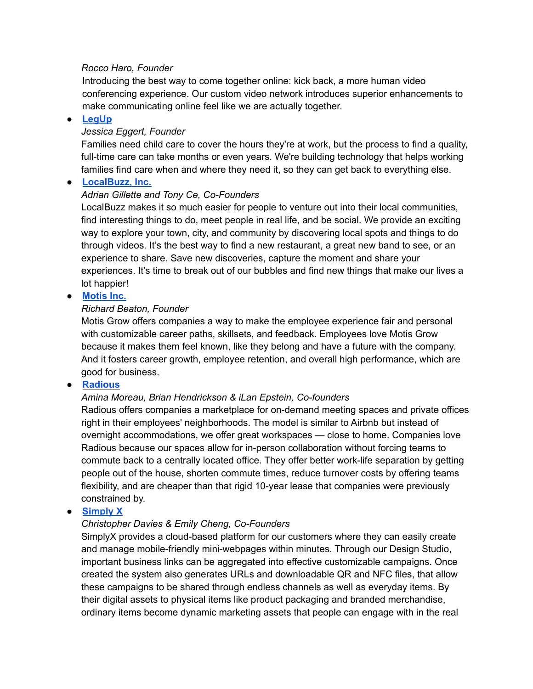#### *Rocco Haro, Founder*

Introducing the best way to come together online: kick back, a more human video conferencing experience. Our custom video network introduces superior enhancements to make communicating online feel like we are actually together.

## **● [LegUp](https://www.legup.care/)**

## *Jessica Eggert, Founder*

Families need child care to cover the hours they're at work, but the process to find a quality, full-time care can take months or even years. We're building technology that helps working families find care when and where they need it, so they can get back to everything else.

## **● [LocalBuzz,](https://localbuzz.co/) Inc.**

## *Adrian Gillette and Tony Ce, Co-Founders*

LocalBuzz makes it so much easier for people to venture out into their local communities, find interesting things to do, meet people in real life, and be social. We provide an exciting way to explore your town, city, and community by discovering local spots and things to do through videos. It's the best way to find a new restaurant, a great new band to see, or an experience to share. Save new discoveries, capture the moment and share your experiences. It's time to break out of our bubbles and find new things that make our lives a lot happier!

# **● [Motis](https://www.motispeople.com/) Inc.**

## *Richard Beaton, Founder*

Motis Grow offers companies a way to make the employee experience fair and personal with customizable career paths, skillsets, and feedback. Employees love Motis Grow because it makes them feel known, like they belong and have a future with the company. And it fosters career growth, employee retention, and overall high performance, which are good for business.

## **● [Radious](https://radious.pro/)**

# *Amina Moreau, Brian Hendrickson & iLan Epstein, Co-founders*

Radious offers companies a marketplace for on-demand meeting spaces and private offices right in their employees' neighborhoods. The model is similar to Airbnb but instead of overnight accommodations, we offer great workspaces — close to home. Companies love Radious because our spaces allow for in-person collaboration without forcing teams to commute back to a centrally located office. They offer better work-life separation by getting people out of the house, shorten commute times, reduce turnover costs by offering teams flexibility, and are cheaper than that rigid 10-year lease that companies were previously constrained by.

#### **● [Simply](https://www.simplyx.biz/) X**

# *Christopher Davies & Emily Cheng, Co-Founders*

SimplyX provides a cloud-based platform for our customers where they can easily create and manage mobile-friendly mini-webpages within minutes. Through our Design Studio, important business links can be aggregated into effective customizable campaigns. Once created the system also generates URLs and downloadable QR and NFC files, that allow these campaigns to be shared through endless channels as well as everyday items. By their digital assets to physical items like product packaging and branded merchandise, ordinary items become dynamic marketing assets that people can engage with in the real